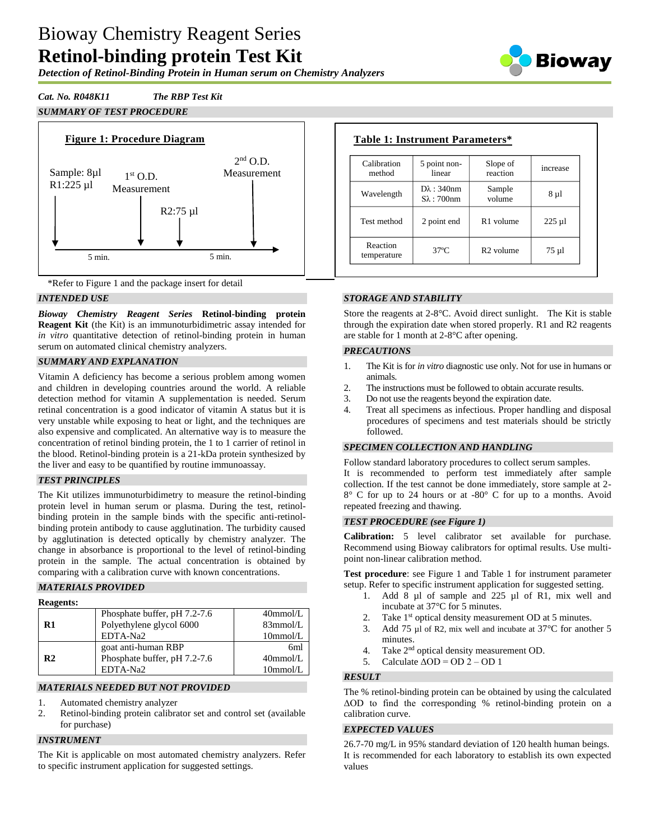# Bioway Chemistry Reagent Series **Retinol-binding protein Test Kit**

*Detection of Retinol-Binding Protein in Human serum on Chemistry Analyzers*



## *Cat. No. R048K11 The RBP Test Kit*

# *SUMMARY OF TEST PROCEDURE*





## *INTENDED USE*

*Bioway Chemistry Reagent Series* **Retinol-binding protein Reagent Kit** (the Kit) is an immunoturbidimetric assay intended for *in vitro* quantitative detection of retinol-binding protein in human serum on automated clinical chemistry analyzers.

## *SUMMARY AND EXPLANATION*

Vitamin A deficiency has become a serious problem among women and children in developing countries around the world. A reliable detection method for vitamin A supplementation is needed. Serum retinal concentration is a good indicator of vitamin A status but it is very unstable while exposing to heat or light, and the techniques are also expensive and complicated. An alternative way is to measure the concentration of retinol binding protein, the 1 to 1 carrier of retinol in the blood. Retinol-binding protein is a 21-kDa protein synthesized by the liver and easy to be quantified by routine immunoassay.

## *TEST PRINCIPLES*

The Kit utilizes immunoturbidimetry to measure the retinol-binding protein level in human serum or plasma. During the test, retinolbinding protein in the sample binds with the specific anti-retinolbinding protein antibody to cause agglutination. The turbidity caused by agglutination is detected optically by chemistry analyzer. The change in absorbance is proportional to the level of retinol-binding protein in the sample. The actual concentration is obtained by comparing with a calibration curve with known concentrations.

## *MATERIALS PROVIDED*

| <b>Reagents:</b> |                              |             |
|------------------|------------------------------|-------------|
|                  | Phosphate buffer, pH 7.2-7.6 | $40$ mmol/L |
| R1               | Polyethylene glycol 6000     | 83mmol/L    |
|                  | EDTA-Na2                     | $10$ mmol/L |
|                  | goat anti-human RBP          | 6ml         |
| R2               | Phosphate buffer, pH 7.2-7.6 | $40$ mmol/L |
|                  | EDTA-Na2                     | $10$ mmol/L |

## *MATERIALS NEEDED BUT NOT PROVIDED*

- 1. Automated chemistry analyzer
- 2. Retinol-binding protein calibrator set and control set (available for purchase)

## *INSTRUMENT*

The Kit is applicable on most automated chemistry analyzers. Refer to specific instrument application for suggested settings.

| Calibration<br>method   | 5 point non-<br>linear                      | Slope of<br>reaction  | increase  |
|-------------------------|---------------------------------------------|-----------------------|-----------|
| Wavelength              | $D\lambda$ : 340nm<br>$S_{\lambda}$ : 700nm | Sample<br>volume      | 8 µ1      |
| Test method             | 2 point end                                 | R <sub>1</sub> volume | $225 \mu$ |
| Reaction<br>temperature | $37^{\circ}$ C                              | R <sub>2</sub> volume | $75 \mu$  |

## *STORAGE AND STABILITY*

Store the reagents at 2-8°C. Avoid direct sunlight. The Kit is stable through the expiration date when stored properly. R1 and R2 reagents are stable for 1 month at 2-8°C after opening.

#### *PRECAUTIONS*

- 1. The Kit is for *in vitro* diagnostic use only. Not for use in humans or animals.
- 2. The instructions must be followed to obtain accurate results.
- 3. Do not use the reagents beyond the expiration date.
- 4. Treat all specimens as infectious. Proper handling and disposal procedures of specimens and test materials should be strictly followed.

#### *SPECIMEN COLLECTION AND HANDLING*

Follow standard laboratory procedures to collect serum samples. It is recommended to perform test immediately after sample collection. If the test cannot be done immediately, store sample at 2- 8° C for up to 24 hours or at -80° C for up to a months. Avoid repeated freezing and thawing.

#### *TEST PROCEDURE (see Figure 1)*

**Calibration:** 5 level calibrator set available for purchase. Recommend using Bioway calibrators for optimal results. Use multipoint non-linear calibration method.

**Test procedure**: see Figure 1 and Table 1 for instrument parameter setup. Refer to specific instrument application for suggested setting.

- 1. Add 8 µl of sample and 225 µl of R1, mix well and incubate at 37°C for 5 minutes.
- 2. Take 1<sup>st</sup> optical density measurement OD at 5 minutes.
- 3. Add 75 µl of R2, mix well and incubate at 37°C for another 5 minutes.
- 4. Take 2<sup>nd</sup> optical density measurement OD.
- 5. Calculate  $\triangle$ OD = OD 2 OD 1

#### *RESULT*

The % retinol-binding protein can be obtained by using the calculated ΔOD to find the corresponding % retinol-binding protein on a calibration curve.

#### *EXPECTED VALUES*

26.7-70 mg/L in 95% standard deviation of 120 health human beings. It is recommended for each laboratory to establish its own expected values

## **Table 1: Instrument Parameters\***